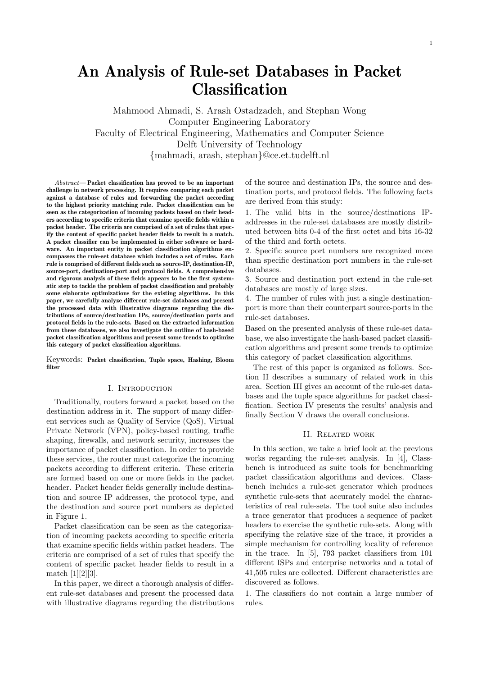Mahmood Ahmadi, S. Arash Ostadzadeh, and Stephan Wong Computer Engineering Laboratory Faculty of Electrical Engineering, Mathematics and Computer Science Delft University of Technology {mahmadi, arash, stephan}@ce.et.tudelft.nl

Abstract— Packet classification has proved to be an important challenge in network processing. It requires comparing each packet against a database of rules and forwarding the packet according to the highest priority matching rule. Packet classification can be seen as the categorization of incoming packets based on their headers according to specific criteria that examine specific fields within a packet header. The criteria are comprised of a set of rules that specify the content of specific packet header fields to result in a match. A packet classifier can be implemented in either software or hardware. An important entity in packet classification algorithms encompasses the rule-set database which includes a set of rules. Each rule is comprised of different fields such as source-IP, destination-IP, source-port, destination-port and protocol fields. A comprehensive and rigorous analysis of these fields appears to be the first systematic step to tackle the problem of packet classification and probably some elaborate optimizations for the existing algorithms. In this paper, we carefully analyze different rule-set databases and present the processed data with illustrative diagrams regarding the distributions of source/destination IPs, source/destination ports and protocol fields in the rule-sets. Based on the extracted information from these databases, we also investigate the outline of hash-based packet classification algorithms and present some trends to optimize this category of packet classification algorithms.

Keywords: Packet classification, Tuple space, Hashing, Bloom filter

#### I. Introduction

Traditionally, routers forward a packet based on the destination address in it. The support of many different services such as Quality of Service (QoS), Virtual Private Network (VPN), policy-based routing, traffic shaping, firewalls, and network security, increases the importance of packet classification. In order to provide these services, the router must categorize the incoming packets according to different criteria. These criteria are formed based on one or more fields in the packet header. Packet header fields generally include destination and source IP addresses, the protocol type, and the destination and source port numbers as depicted in Figure 1.

Packet classification can be seen as the categorization of incoming packets according to specific criteria that examine specific fields within packet headers. The criteria are comprised of a set of rules that specify the content of specific packet header fields to result in a match [1][2][3].

In this paper, we direct a thorough analysis of different rule-set databases and present the processed data with illustrative diagrams regarding the distributions of the source and destination IPs, the source and destination ports, and protocol fields. The following facts are derived from this study:

1. The valid bits in the source/destinations IPaddresses in the rule-set databases are mostly distributed between bits 0-4 of the first octet and bits 16-32 of the third and forth octets.

2. Specific source port numbers are recognized more than specific destination port numbers in the rule-set databases.

3. Source and destination port extend in the rule-set databases are mostly of large sizes.

4. The number of rules with just a single destinationport is more than their counterpart source-ports in the rule-set databases.

Based on the presented analysis of these rule-set database, we also investigate the hash-based packet classification algorithms and present some trends to optimize this category of packet classification algorithms.

The rest of this paper is organized as follows. Section II describes a summary of related work in this area. Section III gives an account of the rule-set databases and the tuple space algorithms for packet classification. Section IV presents the results' analysis and finally Section V draws the overall conclusions.

#### II. Related work

In this section, we take a brief look at the previous works regarding the rule-set analysis. In [4], Classbench is introduced as suite tools for benchmarking packet classification algorithms and devices. Classbench includes a rule-set generator which produces synthetic rule-sets that accurately model the characteristics of real rule-sets. The tool suite also includes a trace generator that produces a sequence of packet headers to exercise the synthetic rule-sets. Along with specifying the relative size of the trace, it provides a simple mechanism for controlling locality of reference in the trace. In [5], 793 packet classifiers from 101 different ISPs and enterprise networks and a total of 41,505 rules are collected. Different characteristics are discovered as follows.

1. The classifiers do not contain a large number of rules.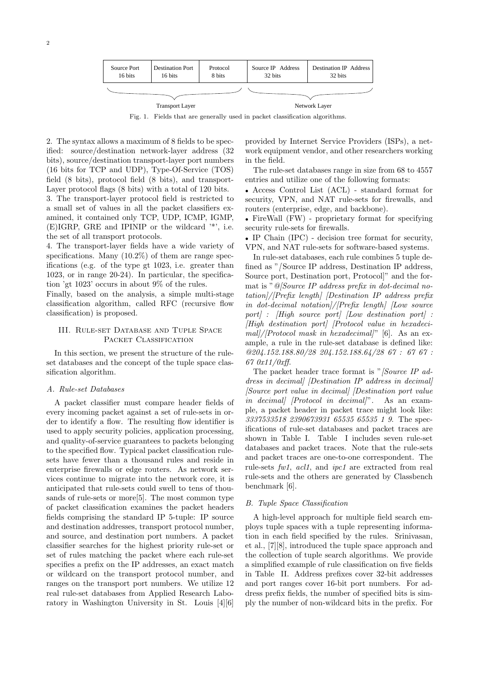

Fig. 1. Fields that are generally used in packet classification algorithms.

2. The syntax allows a maximum of 8 fields to be specified: source/destination network-layer address (32 bits), source/destination transport-layer port numbers (16 bits for TCP and UDP), Type-Of-Service (TOS) field (8 bits), protocol field (8 bits), and transport-Layer protocol flags (8 bits) with a total of 120 bits.

3. The transport-layer protocol field is restricted to a small set of values in all the packet classifiers examined, it contained only TCP, UDP, ICMP, IGMP, (E)IGRP, GRE and IPINIP or the wildcard '\*', i.e. the set of all transport protocols.

4. The transport-layer fields have a wide variety of specifications. Many (10.2%) of them are range specifications (e.g. of the type gt 1023, i.e. greater than 1023, or in range 20-24). In particular, the specification 'gt 1023' occurs in about 9% of the rules.

Finally, based on the analysis, a simple multi-stage classification algorithm, called RFC (recursive flow classification) is proposed.

# III. Rule-set Database and Tuple Space PACKET CLASSIFICATION

In this section, we present the structure of the ruleset databases and the concept of the tuple space classification algorithm.

#### A. Rule-set Databases

A packet classifier must compare header fields of every incoming packet against a set of rule-sets in order to identify a flow. The resulting flow identifier is used to apply security policies, application processing, and quality-of-service guarantees to packets belonging to the specified flow. Typical packet classification rulesets have fewer than a thousand rules and reside in enterprise firewalls or edge routers. As network services continue to migrate into the network core, it is anticipated that rule-sets could swell to tens of thousands of rule-sets or more[5]. The most common type of packet classification examines the packet headers fields comprising the standard IP 5-tuple: IP source and destination addresses, transport protocol number, and source, and destination port numbers. A packet classifier searches for the highest priority rule-set or set of rules matching the packet where each rule-set specifies a prefix on the IP addresses, an exact match or wildcard on the transport protocol number, and ranges on the transport port numbers. We utilize 12 real rule-set databases from Applied Research Laboratory in Washington University in St. Louis [4][6]

provided by Internet Service Providers (ISPs), a network equipment vendor, and other researchers working in the field.

The rule-set databases range in size from 68 to 4557 entries and utilize one of the following formats:

• Access Control List (ACL) - standard format for security, VPN, and NAT rule-sets for firewalls, and routers (enterprise, edge, and backbone).

• FireWall (FW) - proprietary format for specifying security rule-sets for firewalls.

• IP Chain (IPC) - decision tree format for security, VPN, and NAT rule-sets for software-based systems.

In rule-set databases, each rule combines 5 tuple defined as "/Source IP address, Destination IP address, Source port, Destination port, Protocol]" and the format is "@[Source IP address prefix in dot-decimal notation]/[Prefix length] [Destination IP address prefix in dot-decimal notation]/[Prefix length] [Low source port] : [High source port] [Low destination port] : [High destination port] [Protocol value in hexadeci $mall//Protocol mask in hexadecimal?"$  [6]. As an example, a rule in the rule-set database is defined like: @204.152.188.80/28 204.152.188.64/28 67 : 67 67 : 67 0x11/0xff.

The packet header trace format is " $\int\int\int S_0$  *Source IP ad*dress in decimal] [Destination IP address in decimal] [Source port value in decimal] [Destination port value in decimal] [Protocol in decimal]". As an example, a packet header in packet trace might look like: 3337533518 2390673931 65535 65535 1 9. The specifications of rule-set databases and packet traces are shown in Table I. Table I includes seven rule-set databases and packet traces. Note that the rule-sets and packet traces are one-to-one correspondent. The rule-sets fw1, acl1, and ipc1 are extracted from real rule-sets and the others are generated by Classbench benchmark [6].

### B. Tuple Space Classification

A high-level approach for multiple field search employs tuple spaces with a tuple representing information in each field specified by the rules. Srinivasan, et al., [7][8], introduced the tuple space approach and the collection of tuple search algorithms. We provide a simplified example of rule classification on five fields in Table II. Address prefixes cover 32-bit addresses and port ranges cover 16-bit port numbers. For address prefix fields, the number of specified bits is simply the number of non-wildcard bits in the prefix. For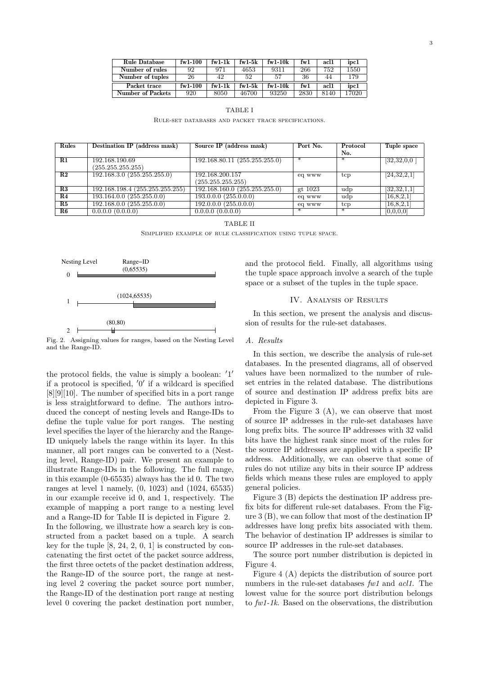| <b>Rule Database</b> | fw1-100          | $f_{\rm W}$ 1-1 $k$ | $f_{\rm w1-5k}$ | $f_{\rm w1-10k}$ | fw1  | acl1 | ipc1  |
|----------------------|------------------|---------------------|-----------------|------------------|------|------|-------|
| Number of rules      | 92               | 971                 | 4653            | 9311             | 266  | 752  | 1550  |
| Number of tuples     | 26               | 42                  | 52              | 57               | 36   | 44   | 179   |
| Packet trace         | $f_{\rm w1-100}$ | $f_{\rm w}$ 1-1 $k$ | $f_{\rm w1-5k}$ | $f_{\rm w1-10k}$ | fw1  | acl1 | ipc1  |
| Number of Packets    | 920              | 8050                | 46700           | 93250            | 2830 | 8140 | 17020 |

TABLE I Rule-set databases and packet trace specifications.

| Rules           | Destination IP (address mask)   | Source IP (address mask)     | Port No. | Protocol | Tuple space   |
|-----------------|---------------------------------|------------------------------|----------|----------|---------------|
|                 |                                 |                              |          | No.      |               |
| $_{\rm R1}$     | 192.168.190.69                  | 192.168.80.11(255.255.255.0) | ∗        | ∗        | [32,32,0,0]   |
|                 | (255.255.255.255)               |                              |          |          |               |
| $\mathbf{R2}$   | 192.168.3.0(255.255.255.0)      | 192.168.200.157              | eq www   | tcp      | [24,32,2,1]   |
|                 |                                 | (255.255.255.255)            |          |          |               |
| R3              | 192.168.198.4 (255.255.255.255) | 192.168.160.0(255.255.255.0) | gt 1023  | udp      | [32,32,1,1]   |
| R4              | 193.164.0.0(255.255.0.0)        | 193.0.0.0 (255.0.0.0)        | eq www   | udp      | [16, 8, 2, 1] |
| R5              | 192.168.0.0(255.255.0.0)        | $192.0.0.0$ $(255.0.0.0)$    | eq www   | tcp      | [16, 8, 2, 1] |
| $\overline{R6}$ | 0.0.0.0(0.0.0.0)                | 0.0.0.0(0.0.0.0)             | ∗        | ∗        | [0,0,0,0]     |

#### TABLE II

Simplified example of rule classification using tuple space.



Fig. 2. Assigning values for ranges, based on the Nesting Level and the Range-ID.

the protocol fields, the value is simply a boolean:  $'1'$ if a protocol is specified,  $'0'$  if a wildcard is specified [8][9][10]. The number of specified bits in a port range is less straightforward to define. The authors introduced the concept of nesting levels and Range-IDs to define the tuple value for port ranges. The nesting level specifies the layer of the hierarchy and the Range-ID uniquely labels the range within its layer. In this manner, all port ranges can be converted to a (Nesting level, Range-ID) pair. We present an example to illustrate Range-IDs in the following. The full range, in this example (0-65535) always has the id 0. The two ranges at level 1 namely, (0, 1023) and (1024, 65535) in our example receive id 0, and 1, respectively. The example of mapping a port range to a nesting level and a Range-ID for Table II is depicted in Figure 2. In the following, we illustrate how a search key is constructed from a packet based on a tuple. A search key for the tuple  $[8, 24, 2, 0, 1]$  is constructed by concatenating the first octet of the packet source address, the first three octets of the packet destination address, the Range-ID of the source port, the range at nesting level 2 covering the packet source port number, the Range-ID of the destination port range at nesting level 0 covering the packet destination port number, and the protocol field. Finally, all algorithms using the tuple space approach involve a search of the tuple space or a subset of the tuples in the tuple space.

### IV. Analysis of Results

In this section, we present the analysis and discussion of results for the rule-set databases.

#### A. Results

In this section, we describe the analysis of rule-set databases. In the presented diagrams, all of observed values have been normalized to the number of ruleset entries in the related database. The distributions of source and destination IP address prefix bits are depicted in Figure 3.

From the Figure 3 (A), we can observe that most of source IP addresses in the rule-set databases have long prefix bits. The source IP addresses with 32 valid bits have the highest rank since most of the rules for the source IP addresses are applied with a specific IP address. Additionally, we can observe that some of rules do not utilize any bits in their source IP address fields which means these rules are employed to apply general policies.

Figure 3 (B) depicts the destination IP address prefix bits for different rule-set databases. From the Figure 3 (B), we can follow that most of the destination IP addresses have long prefix bits associated with them. The behavior of destination IP addresses is similar to source IP addresses in the rule-set databases.

The source port number distribution is depicted in Figure 4.

Figure 4 (A) depicts the distribution of source port numbers in the rule-set databases fw1 and acl1. The lowest value for the source port distribution belongs to fw1-1k. Based on the observations, the distribution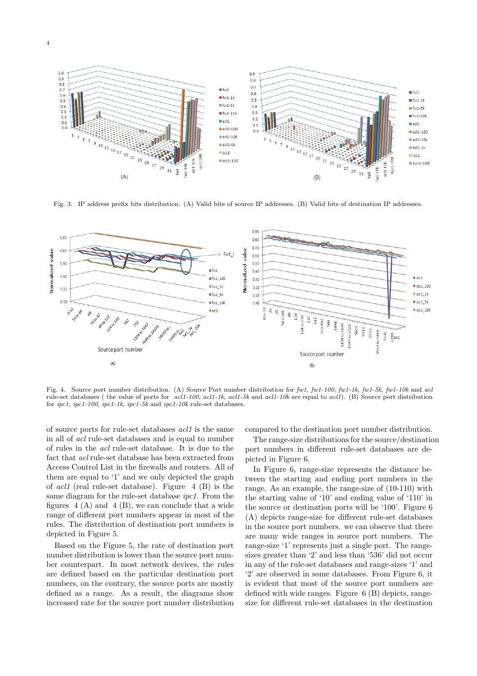

Fig. 3. IP address prefix bits distribution. (A) Valid bits of source IP addresses. (B) Valid bits of destination IP addresses.



Fig. 4. Source port number distribution. (A) Source Port number distribution for  $fwt100$ ,  $fwt100$ ,  $fwt10k$ ,  $fwt10k$  and acl rule-set databases ( the value of ports for  $acl1-100$ ,  $acl1-10k$ ,  $acl1-5k$  and  $acl1-10k$  are equal to  $acl1$ ). (B) Source port distribution for ipc1, ipc1-100, ipc1-1k, ipc1-5k and ipc1-10k rule-set databases.

of source ports for rule-set databases acl1 is the same in all of acl rule-set databases and is equal to number of rules in the acl rule-set database. It is due to the fact that acl rule-set database has been extracted from Access Control List in the firewalls and routers. All of them are equal to '1' and we only depicted the graph of *acl1* (real rule-set database). Figure  $4$  (B) is the same diagram for the rule-set database ipc1. From the figures  $4(A)$  and  $4(B)$ , we can conclude that a wide range of different port numbers appear in most of the rules. The distribution of destination port numbers is depicted in Figure 5.

Based on the Figure 5, the rate of destination port number distribution is lower than the source port number counterpart. In most network devices, the rules are defined based on the particular destination port numbers, on the contrary, the source ports are mostly defined as a range. As a result, the diagrams show increased rate for the source port number distribution compared to the destination port number distribution.

The range-size distributions for the source/destination port numbers in different rule-set databases are depicted in Figure 6.

In Figure 6, range-size represents the distance between the starting and ending port numbers in the range. As an example, the range-size of (10-110) with the starting value of '10' and ending value of '110' in the source or destination ports will be '100'. Figure 6 (A) depicts range-size for different rule-set databases in the source port numbers. we can observe that there are many wide ranges in source port numbers. The range-size '1' represents just a single port. The rangesizes greater than '2' and less than '536' did not occur in any of the rule-set databases and range-sizes '1' and '2' are observed in some databases. From Figure 6, it is evident that most of the source port numbers are defined with wide ranges. Figure 6 (B) depicts, rangesize for different rule-set databases in the destination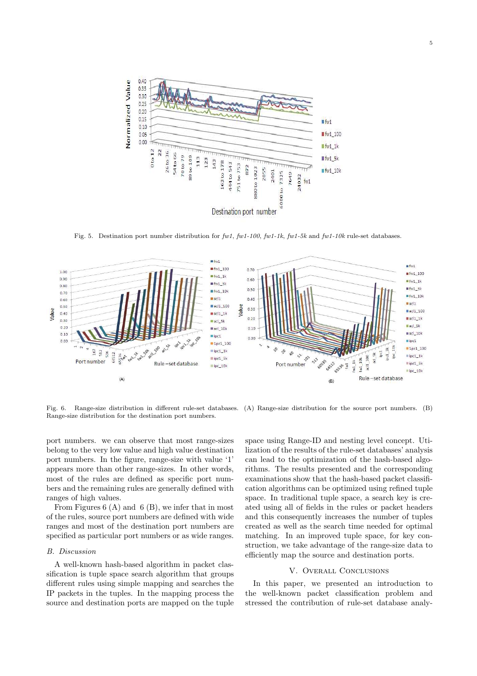

Fig. 5. Destination port number distribution for fw1, fw1-100, fw1-1k, fw1-5k and fw1-10k rule-set databases.



Range-size distribution for the destination port numbers.

Fig. 6. Range-size distribution in different rule-set databases. (A) Range-size distribution for the source port numbers. (B)

port numbers. we can observe that most range-sizes belong to the very low value and high value destination port numbers. In the figure, range-size with value '1' appears more than other range-sizes. In other words, most of the rules are defined as specific port numbers and the remaining rules are generally defined with ranges of high values.

From Figures 6 (A) and 6 (B), we infer that in most of the rules, source port numbers are defined with wide ranges and most of the destination port numbers are specified as particular port numbers or as wide ranges.

### B. Discussion

A well-known hash-based algorithm in packet classification is tuple space search algorithm that groups different rules using simple mapping and searches the IP packets in the tuples. In the mapping process the source and destination ports are mapped on the tuple space using Range-ID and nesting level concept. Utilization of the results of the rule-set databases' analysis can lead to the optimization of the hash-based algorithms. The results presented and the corresponding examinations show that the hash-based packet classification algorithms can be optimized using refined tuple space. In traditional tuple space, a search key is created using all of fields in the rules or packet headers and this consequently increases the number of tuples created as well as the search time needed for optimal matching. In an improved tuple space, for key construction, we take advantage of the range-size data to efficiently map the source and destination ports.

## V. Overall Conclusions

In this paper, we presented an introduction to the well-known packet classification problem and stressed the contribution of rule-set database analy